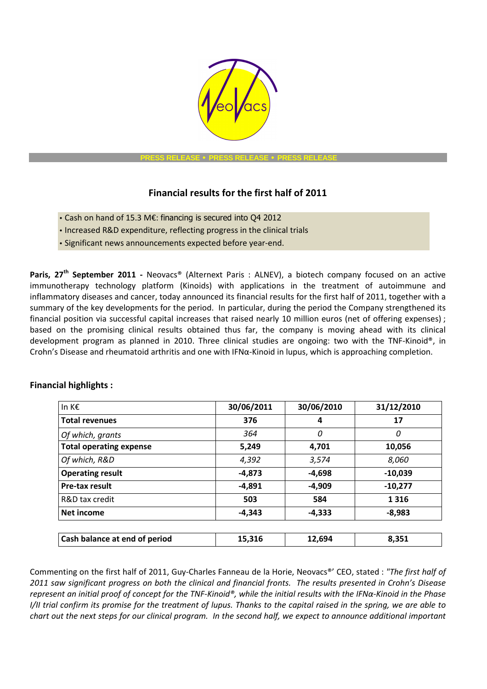

 **PRESS RELEASE** • **PRESS RELEASE** • **PRESS RELEASE** 

# **Financial results for the first half of 2011**

- Cash on hand of 15.3 M€: financing is secured into Q4 2012
- Increased R&D expenditure, reflecting progress in the clinical trials
- Significant news announcements expected before year-end.

**Paris, 27<sup>th</sup> September 2011 -** Neovacs® (Alternext Paris : ALNEV), a biotech company focused on an active immunotherapy technology platform (Kinoids) with applications in the treatment of autoimmune and inflammatory diseases and cancer, today announced its financial results for the first half of 2011, together with a summary of the key developments for the period. In particular, during the period the Company strengthened its financial position via successful capital increases that raised nearly 10 million euros (net of offering expenses) ; based on the promising clinical results obtained thus far, the company is moving ahead with its clinical development program as planned in 2010. Three clinical studies are ongoing: two with the TNF-Kinoid®, in Crohn's Disease and rheumatoid arthritis and one with IFNα-Kinoid in lupus, which is approaching completion.

| In K€                          | 30/06/2011 | 30/06/2010 | 31/12/2010 |
|--------------------------------|------------|------------|------------|
| <b>Total revenues</b>          | 376        | 4          | 17         |
| Of which, grants               | 364        | 0          | 0          |
| <b>Total operating expense</b> | 5,249      | 4,701      | 10,056     |
| Of which, R&D                  | 4,392      | 3,574      | 8,060      |
| <b>Operating result</b>        | $-4,873$   | $-4,698$   | $-10,039$  |
| Pre-tax result                 | $-4,891$   | -4,909     | $-10,277$  |
| R&D tax credit                 | 503        | 584        | 1 3 1 6    |
| Net income                     | $-4.343$   | $-4.333$   | $-8,983$   |
|                                |            |            |            |
| Cash balance at end of period  | 15,316     | 12,694     | 8,351      |

## **Financial highlights :**

Commenting on the first half of 2011, Guy-Charles Fanneau de la Horie, Neovacs®' CEO, stated : *"The first half of 2011 saw significant progress on both the clinical and financial fronts. The results presented in Crohn's Disease represent an initial proof of concept for the TNF-Kinoid®, while the initial results with the IFNα-Kinoid in the Phase I/II trial confirm its promise for the treatment of lupus. Thanks to the capital raised in the spring, we are able to chart out the next steps for our clinical program. In the second half, we expect to announce additional important*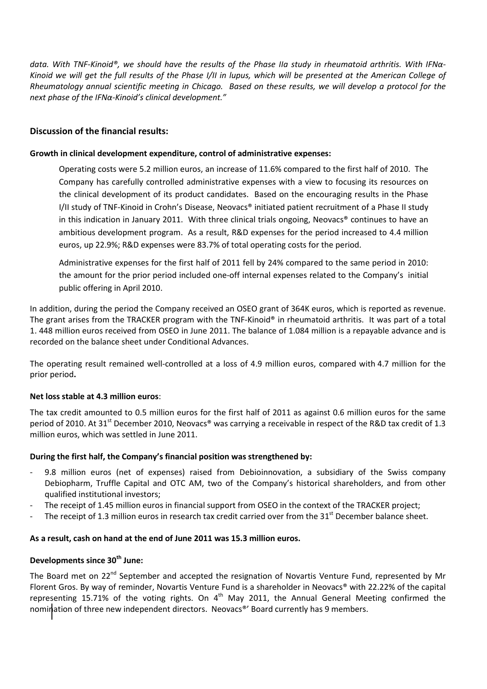*data. With TNF-Kinoid®, we should have the results of the Phase IIa study in rheumatoid arthritis. With IFNα-Kinoid we will get the full results of the Phase I/II in lupus, which will be presented at the American College of Rheumatology annual scientific meeting in Chicago. Based on these results, we will develop a protocol for the next phase of the IFNα-Kinoid's clinical development."*

## **Discussion of the financial results:**

## **Growth in clinical development expenditure, control of administrative expenses:**

Operating costs were 5.2 million euros, an increase of 11.6% compared to the first half of 2010. The Company has carefully controlled administrative expenses with a view to focusing its resources on the clinical development of its product candidates. Based on the encouraging results in the Phase I/II study of TNF-Kinoid in Crohn's Disease, Neovacs® initiated patient recruitment of a Phase II study in this indication in January 2011. With three clinical trials ongoing, Neovacs<sup>®</sup> continues to have an ambitious development program. As a result, R&D expenses for the period increased to 4.4 million euros, up 22.9%; R&D expenses were 83.7% of total operating costs for the period.

Administrative expenses for the first half of 2011 fell by 24% compared to the same period in 2010: the amount for the prior period included one-off internal expenses related to the Company's initial public offering in April 2010.

In addition, during the period the Company received an OSEO grant of 364K euros, which is reported as revenue. The grant arises from the TRACKER program with the TNF-Kinoid® in rheumatoid arthritis. It was part of a total 1. 448 million euros received from OSEO in June 2011. The balance of 1.084 million is a repayable advance and is recorded on the balance sheet under Conditional Advances.

The operating result remained well-controlled at a loss of 4.9 million euros, compared with 4.7 million for the prior period**.**

## **Net loss stable at 4.3 million euros**:

The tax credit amounted to 0.5 million euros for the first half of 2011 as against 0.6 million euros for the same period of 2010. At 31<sup>st</sup> December 2010, Neovacs<sup>®</sup> was carrying a receivable in respect of the R&D tax credit of 1.3 million euros, which was settled in June 2011.

## **During the first half, the Company's financial position was strengthened by:**

- 9.8 million euros (net of expenses) raised from Debioinnovation, a subsidiary of the Swiss company Debiopharm, Truffle Capital and OTC AM, two of the Company's historical shareholders, and from other qualified institutional investors;
- The receipt of 1.45 million euros in financial support from OSEO in the context of the TRACKER project;
- The receipt of 1.3 million euros in research tax credit carried over from the 31<sup>st</sup> December balance sheet.

#### **As a result, cash on hand at the end of June 2011 was 15.3 million euros.**

## **Developments since 30th June:**

The Board met on 22<sup>nd</sup> September and accepted the resignation of Novartis Venture Fund, represented by Mr Florent Gros. By way of reminder, Novartis Venture Fund is a shareholder in Neovacs® with 22.22% of the capital representing 15.71% of the voting rights. On  $4<sup>th</sup>$  May 2011, the Annual General Meeting confirmed the nomination of three new independent directors. Neovacs<sup>®</sup>' Board currently has 9 members.